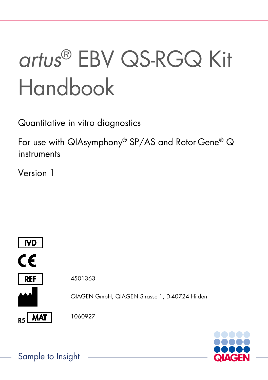# *artus*® EBV QS-RGQ Kit Handbook

Quantitative in vitro diagnostics

For use with QIAsymphony® SP/AS and Rotor-Gene® Q instruments

Version 1





Sample to Insight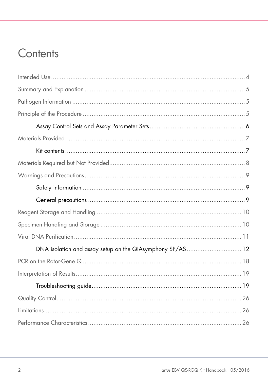### Contents

| DNA isolation and assay setup on the QIAsymphony SP/AS 12 |  |
|-----------------------------------------------------------|--|
|                                                           |  |
|                                                           |  |
|                                                           |  |
|                                                           |  |
|                                                           |  |
|                                                           |  |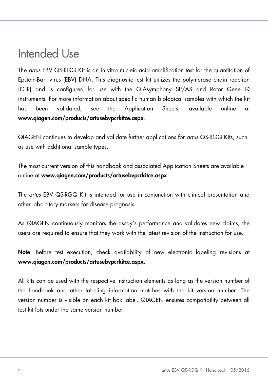### <span id="page-3-0"></span>Intended Use

The *artus* EBV QS-RGQ Kit is an in vitro nucleic acid amplification test for the quantitation of Epstein-Barr virus (EBV) DNA. This diagnostic test kit utilizes the polymerase chain reaction (PCR) and is configured for use with the QIAsymphony SP/AS and Rotor Gene Q instruments. For more information about specific human biological samples with which the kit has been validated, see the Application Sheets, available online at www.qiagen.com/products/artusebvpcrkitce.aspx.

QIAGEN continues to develop and validate further applications for *artus* QS-RGQ Kits, such as use with additional sample types.

The most current version of this handbook and associated Application Sheets are available online at www.qiagen.com/products/artusebvpcrkitce.aspx.

The *artus* EBV QS-RGQ Kit is intended for use in conjunction with clinical presentation and other laboratory markers for disease prognosis.

As QIAGEN continuously monitors the assay's performance and validates new claims, the users are required to ensure that they work with the latest revision of the instruction for use.

Note: Before test execution, check availability of new electronic labeling revisions at www.qiagen.com/products/artusebvpcrkitce.aspx.

All kits can be used with the respective instruction elements as long as the version number of the handbook and other labeling information matches with the kit version number. The version number is visible on each kit box label. QIAGEN ensures compatibility between all test kit lots under the same version number.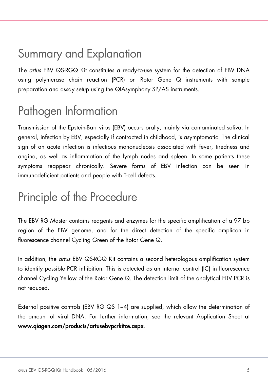# <span id="page-4-0"></span>Summary and Explanation

The *artus* EBV QS-RGQ Kit constitutes a ready-to-use system for the detection of EBV DNA using polymerase chain reaction (PCR) on Rotor Gene Q instruments with sample preparation and assay setup using the QIAsymphony SP/AS instruments.

# <span id="page-4-1"></span>Pathogen Information

Transmission of the Epstein-Barr virus (EBV) occurs orally, mainly via contaminated saliva. In general, infection by EBV, especially if contracted in childhood, is asymptomatic. The clinical sign of an acute infection is infectious mononucleosis associated with fever, tiredness and angina, as well as inflammation of the lymph nodes and spleen. In some patients these symptoms reappear chronically. Severe forms of EBV infection can be seen in immunodeficient patients and people with T-cell defects.

# <span id="page-4-2"></span>Principle of the Procedure

The EBV RG Master contains reagents and enzymes for the specific amplification of a 97 bp region of the EBV genome, and for the direct detection of the specific amplicon in fluorescence channel Cycling Green of the Rotor Gene Q.

In addition, the *artus* EBV QS-RGQ Kit contains a second heterologous amplification system to identify possible PCR inhibition. This is detected as an internal control (IC) in fluorescence channel Cycling Yellow of the Rotor Gene Q. The detection limit of the analytical EBV PCR is not reduced.

External positive controls (EBV RG QS 1–4) are supplied, which allow the determination of the amount of viral DNA. For further information, see the relevant Application Sheet at [www.qiagen.com/products/artusebvpcrkitce.aspx](http://www.qiagen.com/products/artusebvpcrkitce.aspx).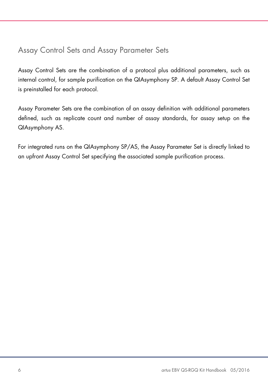### <span id="page-5-0"></span>Assay Control Sets and Assay Parameter Sets

Assay Control Sets are the combination of a protocol plus additional parameters, such as internal control, for sample purification on the QIAsymphony SP. A default Assay Control Set is preinstalled for each protocol.

Assay Parameter Sets are the combination of an assay definition with additional parameters defined, such as replicate count and number of assay standards, for assay setup on the QIAsymphony AS.

For integrated runs on the QIAsymphony SP/AS, the Assay Parameter Set is directly linked to an upfront Assay Control Set specifying the associated sample purification process.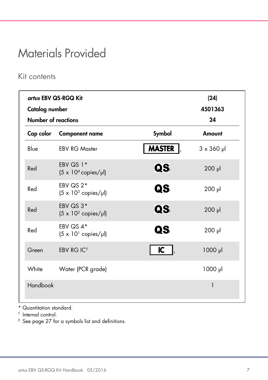# <span id="page-6-0"></span>Materials Provided

#### <span id="page-6-1"></span>Kit contents

| artus EBV QS-RGQ Kit<br>Catalog number<br><b>Number of reactions</b> |                                                               | (24)<br>4501363<br>24 |                   |
|----------------------------------------------------------------------|---------------------------------------------------------------|-----------------------|-------------------|
| Cap color                                                            | <b>Component name</b>                                         | Symbol                | Amount            |
| Blue                                                                 | <b>EBV RG Master</b>                                          | <b>MASTER</b>         | $3 \times 360$ µl |
| Red                                                                  | EBV QS 1*<br>$(5 \times 10^4 \text{ copies/}\mu\text{I})$     | QS.                   | 200 µl            |
| Red                                                                  | EBV QS $2*$<br>$(5 \times 10^3 \text{ copies/}\mu\text{I})$   | QS.                   | $200$ $\mu$       |
| Red                                                                  | FBV QS 3*<br>$(5 \times 10^2 \text{ copies/}\mu\text{)}$      | QS.                   | $200$ $\mu$       |
| Red                                                                  | EBV QS $4*$<br>$(5 \times 10^{1} \text{ copies/}\mu\text{I})$ | QS.                   | $200$ $\mu$       |
| Green                                                                | EBV RG IC <sup>+</sup>                                        | IC                    | 1000 µl           |
| White                                                                | Water (PCR grade)                                             |                       | 1000 µl           |
| Handbook                                                             |                                                               |                       | 1                 |

\* Quantitation standard.

† Internal control.

‡ See page [27](#page-26-0) for a symbols list and definitions.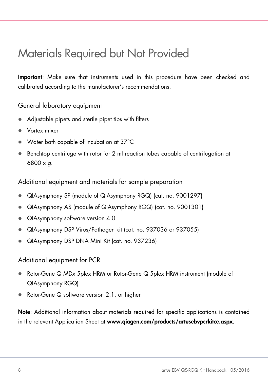### <span id="page-7-0"></span>Materials Required but Not Provided

Important: Make sure that instruments used in this procedure have been checked and calibrated according to the manufacturer's recommendations.

General laboratory equipment

- Adjustable pipets and sterile pipet tips with filters
- Vortex mixer
- Water bath capable of incubation at 37°C
- Benchtop centrifuge with rotor for 2 ml reaction tubes capable of centrifugation at 6800 x *g*.

Additional equipment and materials for sample preparation

- QIAsymphony SP (module of QIAsymphony RGQ) (cat. no. 9001297)
- QIAsymphony AS (module of QIAsymphony RGQ) (cat. no. 9001301)
- QIAsymphony software version 4.0
- QIAsymphony DSP Virus/Pathogen kit (cat. no. 937036 or 937055)
- QIAsymphony DSP DNA Mini Kit (cat. no. 937236)

Additional equipment for PCR

- Rotor-Gene Q MDx 5plex HRM or Rotor-Gene Q 5plex HRM instrument (module of QIAsymphony RGQ)
- Rotor-Gene Q software version 2.1, or higher

Note: Additional information about materials required for specific applications is contained in the relevant Application Sheet at www.qiagen.com/products/artusebvpcrkitce.aspx.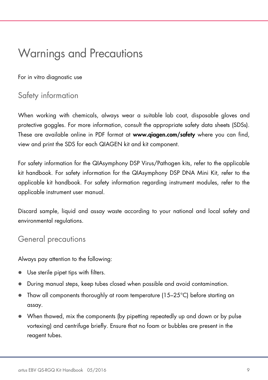### <span id="page-8-0"></span>Warnings and Precautions

For in vitro diagnostic use

### <span id="page-8-1"></span>Safety information

When working with chemicals, always wear a suitable lab coat, disposable gloves and protective goggles. For more information, consult the appropriate safety data sheets (SDSs). These are available online in PDF format at [www.qiagen.com/safety](http://www.qiagen.com/safety) where you can find, view and print the SDS for each QIAGEN kit and kit component.

For safety information for the QIAsymphony DSP Virus/Pathogen kits, refer to the applicable kit handbook. For safety information for the QIAsymphony DSP DNA Mini Kit, refer to the applicable kit handbook. For safety information regarding instrument modules, refer to the applicable instrument user manual.

Discard sample, liquid and assay waste according to your national and local safety and environmental regulations.

#### <span id="page-8-2"></span>General precautions

Always pay attention to the following:

- Use sterile pipet tips with filters.
- During manual steps, keep tubes closed when possible and avoid contamination.
- Thaw all components thoroughly at room temperature (15–25°C) before starting an assay.
- When thawed, mix the components (by pipetting repeatedly up and down or by pulse vortexing) and centrifuge briefly. Ensure that no foam or bubbles are present in the reagent tubes.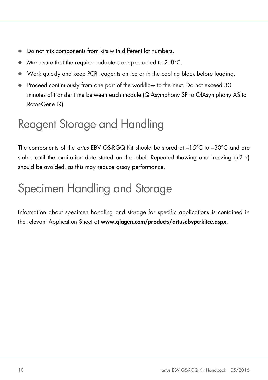- Do not mix components from kits with different lot numbers.
- Make sure that the required adapters are precooled to 2-8°C.
- Work quickly and keep PCR reagents on ice or in the cooling block before loading.
- Proceed continuously from one part of the workflow to the next. Do not exceed 30 minutes of transfer time between each module (QIAsymphony SP to QIAsymphony AS to Rotor-Gene Q).

# <span id="page-9-0"></span>Reagent Storage and Handling

The components of the *artus* EBV QS-RGQ Kit should be stored at –15°C to –30°C and are stable until the expiration date stated on the label. Repeated thawing and freezing (>2 x) should be avoided, as this may reduce assay performance.

# <span id="page-9-1"></span>Specimen Handling and Storage

Information about specimen handling and storage for specific applications is contained in the relevant Application Sheet at www.qiagen.com/products/artusebvpcrkitce.aspx.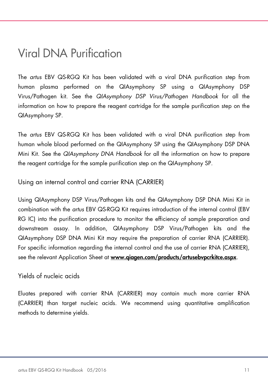### <span id="page-10-0"></span>Viral DNA Purification

The *artus* EBV QS-RGQ Kit has been validated with a viral DNA purification step from human plasma performed on the QIAsymphony SP using a QIAsymphony DSP Virus/Pathogen kit. See the *QIAsymphony DSP Virus/Pathogen Handbook* for all the information on how to prepare the reagent cartridge for the sample purification step on the QIAsymphony SP.

The *artus* EBV QS-RGQ Kit has been validated with a viral DNA purification step from human whole blood performed on the QIAsymphony SP using the QIAsymphony DSP DNA Mini Kit. See the *QIAsymphony DNA Handbook* for all the information on how to prepare the reagent cartridge for the sample purification step on the QIAsymphony SP.

Using an internal control and carrier RNA (CARRIER)

Using QIAsymphony DSP Virus/Pathogen kits and the QIAsymphony DSP DNA Mini Kit in combination with the *artus* EBV QS-RGQ Kit requires introduction of the internal control (EBV RG IC) into the purification procedure to monitor the efficiency of sample preparation and downstream assay. In addition, QIAsymphony DSP Virus/Pathogen kits and the QIAsymphony DSP DNA Mini Kit may require the preparation of carrier RNA (CARRIER). For specific information regarding the internal control and the use of carrier RNA (CARRIER), see the relevant Application Sheet at [www.qiagen.com/products/artusebvpcrkitce.aspx](http://www.qiagen.com/products/artusebvpcrkitce.aspx).

#### Yields of nucleic acids

Eluates prepared with carrier RNA (CARRIER) may contain much more carrier RNA (CARRIER) than target nucleic acids. We recommend using quantitative amplification methods to determine yields.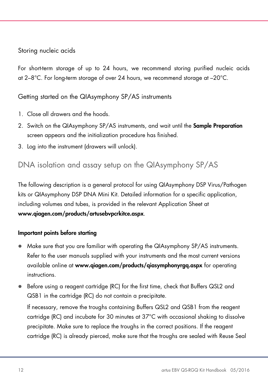#### Storing nucleic acids

For short-term storage of up to 24 hours, we recommend storing purified nucleic acids at 2–8°C. For long-term storage of over 24 hours, we recommend storage at –20°C.

#### Getting started on the QIAsymphony SP/AS instruments

- 1. Close all drawers and the hoods.
- 2. Switch on the QIAsymphony SP/AS instruments, and wait until the **Sample Preparation** screen appears and the initialization procedure has finished.
- 3. Log into the instrument (drawers will unlock).

### <span id="page-11-0"></span>DNA isolation and assay setup on the QIAsymphony SP/AS

The following description is a general protocol for using QIAsymphony DSP Virus/Pathogen kits or QIAsymphony DSP DNA Mini Kit. Detailed information for a specific application, including volumes and tubes, is provided in the relevant Application Sheet at www.qiagen.com/products/artusebvpcrkitce.aspx.

#### Important points before starting

- Make sure that you are familiar with operating the QIAsymphony SP/AS instruments. Refer to the user manuals supplied with your instruments and the most current versions available online at www.qiagen.com/products/qiasymphonyrgq.aspx for operating instructions.
- Before using a reagent cartridge (RC) for the first time, check that Buffers QSL2 and QSB1 in the cartridge (RC) do not contain a precipitate.

If necessary, remove the troughs containing Buffers QSL2 and QSB1 from the reagent cartridge (RC) and incubate for 30 minutes at 37°C with occasional shaking to dissolve precipitate. Make sure to replace the troughs in the correct positions. If the reagent cartridge (RC) is already pierced, make sure that the troughs are sealed with Reuse Seal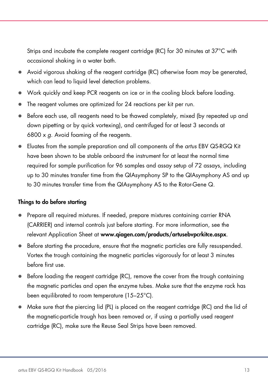Strips and incubate the complete reagent cartridge (RC) for 30 minutes at 37°C with occasional shaking in a water bath.

- Avoid vigorous shaking of the reagent cartridge (RC) otherwise foam may be generated, which can lead to liquid level detection problems.
- Work quickly and keep PCR reagents on ice or in the cooling block before loading.
- The reagent volumes are optimized for 24 reactions per kit per run.
- Before each use, all reagents need to be thawed completely, mixed (by repeated up and down pipetting or by quick vortexing), and centrifuged for at least 3 seconds at 6800 x *g*. Avoid foaming of the reagents.
- Eluates from the sample preparation and all components of the *artus* EBV QS-RGQ Kit have been shown to be stable onboard the instrument for at least the normal time required for sample purification for 96 samples and assay setup of 72 assays, including up to 30 minutes transfer time from the QIAsymphony SP to the QIAsymphony AS and up to 30 minutes transfer time from the QIAsymphony AS to the Rotor-Gene Q.

#### Things to do before starting

- Prepare all required mixtures. If needed, prepare mixtures containing carrier RNA (CARRIER) and internal controls just before starting. For more information, see the relevant Application Sheet at www.giagen.com/products/artusebvpcrkitce.aspx.
- Before starting the procedure, ensure that the magnetic particles are fully resuspended. Vortex the trough containing the magnetic particles vigorously for at least 3 minutes before first use.
- Before loading the reagent cartridge (RC), remove the cover from the trough containing the magnetic particles and open the enzyme tubes. Make sure that the enzyme rack has been equilibrated to room temperature (15–25°C).
- Make sure that the piercing lid (PL) is placed on the reagent cartridge (RC) and the lid of the magnetic-particle trough has been removed or, if using a partially used reagent cartridge (RC), make sure the Reuse Seal Strips have been removed.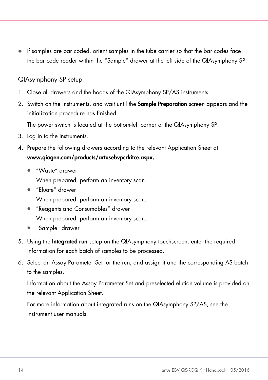If samples are bar coded, orient samples in the tube carrier so that the bar codes face the bar code reader within the "Sample" drawer at the left side of the QIAsymphony SP.

#### QIAsymphony SP setup

- 1. Close all drawers and the hoods of the QIAsymphony SP/AS instruments.
- 2. Switch on the instruments, and wait until the **Sample Preparation** screen appears and the initialization procedure has finished.

The power switch is located at the bottom-left corner of the QIAsymphony SP.

- 3. Log in to the instruments.
- 4. Prepare the following drawers according to the relevant Application Sheet at www.qiagen.com/products/artusebvpcrkitce.aspx.
	- "Waste" drawer When prepared, perform an inventory scan.
	- "Eluate" drawer When prepared, perform an inventory scan.
	- "Reagents and Consumables" drawer When prepared, perform an inventory scan.
	- "Sample" drawer
- 5. Using the **Integrated run** setup on the QIAsymphony touchscreen, enter the required information for each batch of samples to be processed.
- 6. Select an Assay Parameter Set for the run, and assign it and the corresponding AS batch to the samples.

Information about the Assay Parameter Set and preselected elution volume is provided on the relevant Application Sheet.

For more information about integrated runs on the QIAsymphony SP/AS, see the instrument user manuals.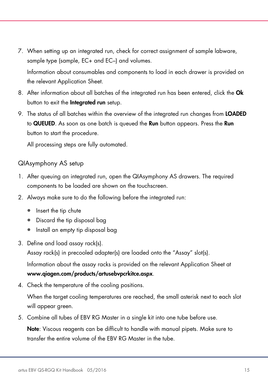7. When setting up an integrated run, check for correct assignment of sample labware, sample type (sample, EC+ and EC–) and volumes.

Information about consumables and components to load in each drawer is provided on the relevant Application Sheet.

- 8. After information about all batches of the integrated run has been entered, click the **Ok** button to exit the **Integrated run** setup.
- 9. The status of all batches within the overview of the integrated run changes from LOADED to QUEUED. As soon as one batch is aueued the Run button appears. Press the Run button to start the procedure.

All processing steps are fully automated.

#### QIAsymphony AS setup

- 1. After queuing an integrated run, open the QIAsymphony AS drawers. The required components to be loaded are shown on the touchscreen.
- 2. Always make sure to do the following before the integrated run:
	- Insert the tip chute
	- Discard the tip disposal bag
	- Install an empty tip disposal bag
- 3. Define and load assay rack(s).

Assay rack(s) in precooled adapter(s) are loaded onto the "Assay" slot(s).

Information about the assay racks is provided on the relevant Application Sheet at www.qiagen.com/products/artusebvpcrkitce.aspx.

4. Check the temperature of the cooling positions.

When the target cooling temperatures are reached, the small asterisk next to each slot will appear green.

5. Combine all tubes of EBV RG Master in a single kit into one tube before use.

Note: Viscous reagents can be difficult to handle with manual pipets. Make sure to transfer the entire volume of the EBV RG Master in the tube.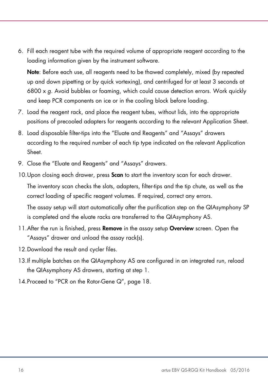6. Fill each reagent tube with the required volume of appropriate reagent according to the loading information given by the instrument software.

Note: Before each use, all reagents need to be thawed completely, mixed (by repeated up and down pipetting or by quick vortexing), and centrifuged for at least 3 seconds at 6800 x *g*. Avoid bubbles or foaming, which could cause detection errors. Work quickly and keep PCR components on ice or in the cooling block before loading.

- 7. Load the reagent rack, and place the reagent tubes, without lids, into the appropriate positions of precooled adapters for reagents according to the relevant Application Sheet.
- 8. Load disposable filter-tips into the "Eluate and Reagents" and "Assays" drawers according to the required number of each tip type indicated on the relevant Application Sheet.
- 9. Close the "Eluate and Reagents" and "Assays" drawers.
- 10. Upon closing each drawer, press **Scan** to start the inventory scan for each drawer.

The inventory scan checks the slots, adapters, filter-tips and the tip chute, as well as the correct loading of specific reagent volumes. If required, correct any errors.

The assay setup will start automatically after the purification step on the QIAsymphony SP is completed and the eluate racks are transferred to the QIAsymphony AS.

- 11. After the run is finished, press Remove in the assay setup Overview screen. Open the "Assays" drawer and unload the assay rack(s).
- 12.Download the result and cycler files.
- 13.If multiple batches on the QIAsymphony AS are configured in an integrated run, reload the QIAsymphony AS drawers, starting at step 1.
- 14.Proceed to ["PCR on the Rotor-Gene Q"](#page-17-0), page [18.](#page-17-0)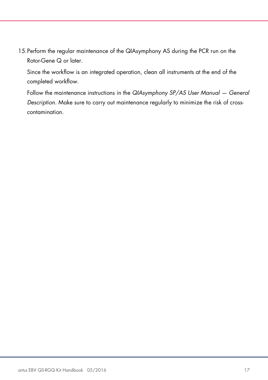15.Perform the regular maintenance of the QIAsymphony AS during the PCR run on the Rotor-Gene Q or later.

Since the workflow is an integrated operation, clean all instruments at the end of the completed workflow.

Follow the maintenance instructions in the *QIAsymphony SP/AS User Manual — General Description*. Make sure to carry out maintenance regularly to minimize the risk of crosscontamination.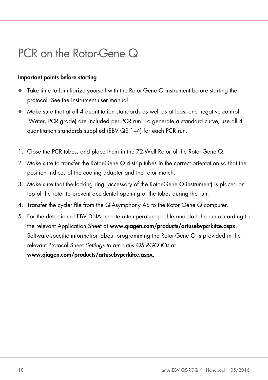### <span id="page-17-0"></span>PCR on the Rotor-Gene Q

#### Important points before starting

- Take time to familiarize yourself with the Rotor-Gene Q instrument before starting the protocol. See the instrument user manual.
- Make sure that at all 4 quantitation standards as well as at least one negative control (Water, PCR grade) are included per PCR run. To generate a standard curve, use all 4 quantitation standards supplied (EBV QS 1–4) for each PCR run.
- 1. Close the PCR tubes, and place them in the 72-Well Rotor of the Rotor-Gene Q.
- 2. Make sure to transfer the Rotor-Gene Q 4-strip tubes in the correct orientation so that the position indices of the cooling adapter and the rotor match.
- 3. Make sure that the locking ring (accessory of the Rotor-Gene Q instrument) is placed on top of the rotor to prevent accidental opening of the tubes during the run.
- 4. Transfer the cycler file from the QIAsymphony AS to the Rotor Gene Q computer.
- 5. For the detection of EBV DNA, create a temperature profile and start the run according to the relevant Application Sheet at www.qiagen.com/products/artusebvpcrkitce.aspx. Software-specific information about programming the Rotor-Gene Q is provided in the relevant Protocol Sheet *Settings to run* artus *QS RGQ Kits* at www.qiagen.com/products/artusebvpcrkitce.aspx.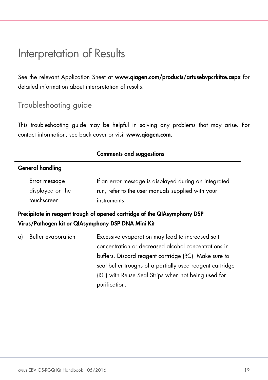### <span id="page-18-0"></span>Interpretation of Results

See the relevant Application Sheet at www.qiagen.com/products/artusebvpcrkitce.aspx for detailed information about interpretation of results.

### <span id="page-18-1"></span>Troubleshooting guide

This troubleshooting guide may be helpful in solving any problems that may arise. For contact information, see back cover or visit [www.qiagen.com](http://www.qiagen.com/).

|    |                                                                                                                                | <b>Comments and suggestions</b>                                                                                                                                                                                                                                                                        |  |
|----|--------------------------------------------------------------------------------------------------------------------------------|--------------------------------------------------------------------------------------------------------------------------------------------------------------------------------------------------------------------------------------------------------------------------------------------------------|--|
|    | <b>General handling</b>                                                                                                        |                                                                                                                                                                                                                                                                                                        |  |
|    | Error message<br>displayed on the<br>touchscreen                                                                               | If an error message is displayed during an integrated<br>run, refer to the user manuals supplied with your<br>instruments.                                                                                                                                                                             |  |
|    | Precipitate in reagent trough of opened cartridge of the QIAsymphony DSP<br>Virus/Pathogen kit or QIAsymphony DSP DNA Mini Kit |                                                                                                                                                                                                                                                                                                        |  |
| a) | Buffer evaporation                                                                                                             | Excessive evaporation may lead to increased salt<br>concentration or decreased alcohol concentrations in<br>buffers. Discard reagent cartridge (RC). Make sure to<br>seal buffer troughs of a partially used reagent cartridge<br>(RC) with Reuse Seal Strips when not being used for<br>purification. |  |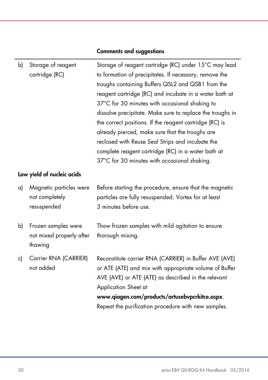<span id="page-19-0"></span>

| b) | Storage of reagent<br>cartridge (RC)                       | Storage of reagent cartridge (RC) under 15°C may lead<br>to formation of precipitates. If necessary, remove the<br>troughs containing Buffers QSL2 and QSB1 from the<br>reagent cartridge (RC) and incubate in a water bath at<br>37°C for 30 minutes with occasional shaking to<br>dissolve precipitate. Make sure to replace the troughs in<br>the correct positions. If the reagent cartridge (RC) is<br>already pierced, make sure that the troughs are<br>reclosed with Reuse Seal Strips and incubate the<br>complete reagent cartridge (RC) in a water bath at<br>37°C for 30 minutes with occasional shaking. |
|----|------------------------------------------------------------|-----------------------------------------------------------------------------------------------------------------------------------------------------------------------------------------------------------------------------------------------------------------------------------------------------------------------------------------------------------------------------------------------------------------------------------------------------------------------------------------------------------------------------------------------------------------------------------------------------------------------|
|    | Low yield of nucleic acids                                 |                                                                                                                                                                                                                                                                                                                                                                                                                                                                                                                                                                                                                       |
| a) | Magnetic particles were<br>not completely<br>resuspended   | Before starting the procedure, ensure that the magnetic<br>particles are fully resuspended. Vortex for at least<br>3 minutes before use.                                                                                                                                                                                                                                                                                                                                                                                                                                                                              |
| b) | Frozen samples were<br>not mixed properly after<br>thawing | Thaw frozen samples with mild agitation to ensure<br>thorough mixing.                                                                                                                                                                                                                                                                                                                                                                                                                                                                                                                                                 |
| c) | Carrier RNA (CARRIER)<br>not added                         | Reconstitute carrier RNA (CARRIER) in Buffer AVE (AVE)<br>or ATE (ATE) and mix with appropriate volume of Buffer<br>AVE (AVE) or ATE (ATE) as described in the relevant<br>Application Sheet at<br>www.qiagen.com/products/artusebvpcrkitce.aspx.<br>Repeat the purification procedure with new samples.                                                                                                                                                                                                                                                                                                              |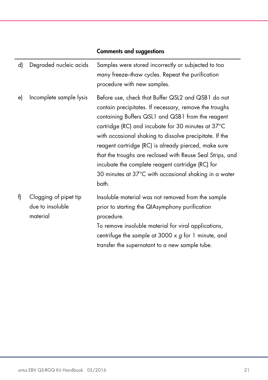| d) | Degraded nucleic acids                                | Samples were stored incorrectly or subjected to too<br>many freeze-thaw cycles. Repeat the purification<br>procedure with new samples.                                                                                                                                                                                                                                                                                                                                                                                        |
|----|-------------------------------------------------------|-------------------------------------------------------------------------------------------------------------------------------------------------------------------------------------------------------------------------------------------------------------------------------------------------------------------------------------------------------------------------------------------------------------------------------------------------------------------------------------------------------------------------------|
| e) | Incomplete sample lysis                               | Before use, check that Buffer QSL2 and QSB1 do not<br>contain precipitates. If necessary, remove the troughs<br>containing Buffers QSL1 and QSB1 from the reagent<br>cartridge (RC) and incubate for 30 minutes at 37°C<br>with occasional shaking to dissolve precipitate. If the<br>reagent cartridge (RC) is already pierced, make sure<br>that the troughs are reclosed with Reuse Seal Strips, and<br>incubate the complete reagent cartridge (RC) for<br>30 minutes at 37°C with occasional shaking in a water<br>bath. |
| f) | Clogging of pipet tip<br>due to insoluble<br>material | Insoluble material was not removed from the sample<br>prior to starting the QIAsymphony purification<br>procedure.<br>To remove insoluble material for viral applications,<br>centrifuge the sample at 3000 $\times$ g for 1 minute, and<br>transfer the supernatant to a new sample tube.                                                                                                                                                                                                                                    |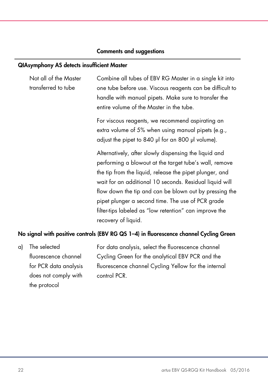#### QIAsymphony AS detects insufficient Master

| Not all of the Master<br>transferred to tube | Combine all tubes of EBV RG Master in a single kit into<br>one tube before use. Viscous reagents can be difficult to<br>handle with manual pipets. Make sure to transfer the<br>entire volume of the Master in the tube.                                                                                                                                                                                                              |
|----------------------------------------------|---------------------------------------------------------------------------------------------------------------------------------------------------------------------------------------------------------------------------------------------------------------------------------------------------------------------------------------------------------------------------------------------------------------------------------------|
|                                              | For viscous reagents, we recommend aspirating an<br>extra volume of 5% when using manual pipets (e.g.,<br>adjust the pipet to 840 µl for an 800 µl volume).                                                                                                                                                                                                                                                                           |
|                                              | Alternatively, after slowly dispensing the liquid and<br>performing a blowout at the target tube's wall, remove<br>the tip from the liquid, release the pipet plunger, and<br>wait for an additional 10 seconds. Residual liquid will<br>flow down the tip and can be blown out by pressing the<br>pipet plunger a second time. The use of PCR grade<br>filter-tips labeled as "low retention" can improve the<br>recovery of liquid. |

#### No signal with positive controls (EBV RG QS 1–4) in fluorescence channel Cycling Green

a) The selected fluorescence channel for PCR data analysis does not comply with the protocol

For data analysis, select the fluorescence channel Cycling Green for the analytical EBV PCR and the fluorescence channel Cycling Yellow for the internal control PCR.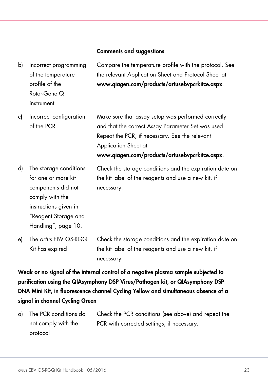| b) | Incorrect programming<br>of the temperature<br>profile of the<br>Rotor-Gene Q<br>instrument                                                                    | Compare the temperature profile with the protocol. See<br>the relevant Application Sheet and Protocol Sheet at<br>www.qiagen.com/products/artusebvpcrkitce.aspx.                                                                     |
|----|----------------------------------------------------------------------------------------------------------------------------------------------------------------|--------------------------------------------------------------------------------------------------------------------------------------------------------------------------------------------------------------------------------------|
| c) | Incorrect configuration<br>of the PCR                                                                                                                          | Make sure that assay setup was performed correctly<br>and that the correct Assay Parameter Set was used.<br>Repeat the PCR, if necessary. See the relevant<br>Application Sheet at<br>www.qiagen.com/products/artusebvpcrkitce.aspx. |
| d) | The storage conditions<br>for one or more kit<br>components did not<br>comply with the<br>instructions given in<br>"Reagent Storage and<br>Handling", page 10. | Check the storage conditions and the expiration date on<br>the kit label of the reagents and use a new kit, if<br>necessary.                                                                                                         |
| e) | The artus EBV QS-RGQ<br>Kit has expired                                                                                                                        | Check the storage conditions and the expiration date on<br>the kit label of the reagents and use a new kit, if<br>necessary.                                                                                                         |

Weak or no signal of the internal control of a negative plasma sample subjected to purification using the QIAsymphony DSP Virus/Pathogen kit, or QIAsymphony DSP DNA Mini Kit, in fluorescence channel Cycling Yellow and simultaneous absence of a signal in channel Cycling Green

a) The PCR conditions do not comply with the protocol Check the PCR conditions (see above) and repeat the PCR with corrected settings, if necessary.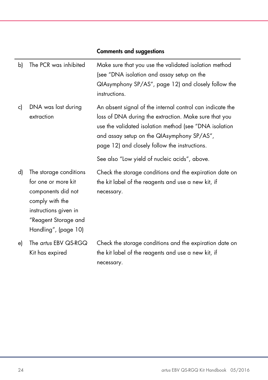|    |                                                                                                                                                                 | Comments and suggestions                                                                                                                                                                                                                                                    |
|----|-----------------------------------------------------------------------------------------------------------------------------------------------------------------|-----------------------------------------------------------------------------------------------------------------------------------------------------------------------------------------------------------------------------------------------------------------------------|
| b) | The PCR was inhibited                                                                                                                                           | Make sure that you use the validated isolation method<br>(see "DNA isolation and assay setup on the<br>QIAsymphony SP/AS", page 12) and closely follow the<br>instructions.                                                                                                 |
| c) | DNA was lost during<br>extraction                                                                                                                               | An absent signal of the internal control can indicate the<br>loss of DNA during the extraction. Make sure that you<br>use the validated isolation method (see "DNA isolation<br>and assay setup on the QIAsymphony SP/AS",<br>page 12) and closely follow the instructions. |
|    |                                                                                                                                                                 | See also "Low yield of nucleic acids", above.                                                                                                                                                                                                                               |
| d) | The storage conditions<br>for one or more kit<br>components did not<br>comply with the<br>instructions given in<br>"Reagent Storage and<br>Handling", (page 10) | Check the storage conditions and the expiration date on<br>the kit label of the reagents and use a new kit, if<br>necessary.                                                                                                                                                |
| e) | The artus EBV QS-RGQ<br>Kit has expired                                                                                                                         | Check the storage conditions and the expiration date on<br>the kit label of the reagents and use a new kit, if<br>necessary.                                                                                                                                                |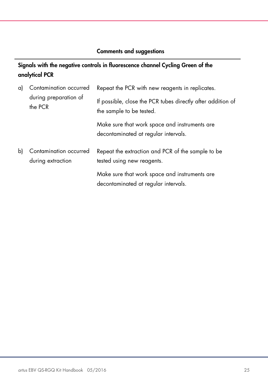### Signals with the negative controls in fluorescence channel Cycling Green of the analytical PCR

| a) | Contamination occurred                      | Repeat the PCR with new reagents in replicates.                                         |  |
|----|---------------------------------------------|-----------------------------------------------------------------------------------------|--|
|    | during preparation of<br>the PCR            | If possible, close the PCR tubes directly after addition of<br>the sample to be tested. |  |
|    |                                             | Make sure that work space and instruments are<br>decontaminated at regular intervals.   |  |
| b) | Contamination occurred<br>during extraction | Repeat the extraction and PCR of the sample to be<br>tested using new reagents.         |  |
|    |                                             | Make sure that work space and instruments are<br>decontaminated at regular intervals.   |  |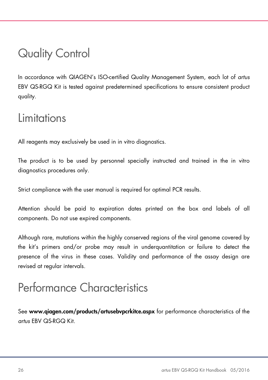# <span id="page-25-0"></span>Quality Control

In accordance with QIAGEN's ISO-certified Quality Management System, each lot of *artus* EBV QS-RGQ Kit is tested against predetermined specifications to ensure consistent product quality.

### <span id="page-25-1"></span>Limitations

All reagents may exclusively be used in in vitro diagnostics.

The product is to be used by personnel specially instructed and trained in the in vitro diagnostics procedures only.

Strict compliance with the user manual is required for optimal PCR results.

Attention should be paid to expiration dates printed on the box and labels of all components. Do not use expired components.

Although rare, mutations within the highly conserved regions of the viral genome covered by the kit's primers and/or probe may result in underquantitation or failure to detect the presence of the virus in these cases. Validity and performance of the assay design are revised at regular intervals.

# <span id="page-25-2"></span>Performance Characteristics

See www.qiagen.com/products/artusebvpcrkitce.aspx for performance characteristics of the *artus* EBV QS-RGQ Kit.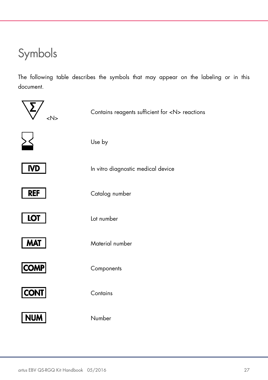# <span id="page-26-0"></span>Symbols

The following table describes the symbols that may appear on the labeling or in this document.

| $<\mathsf{N}>$ | Contains reagents sufficient for <n> reactions</n> |
|----------------|----------------------------------------------------|
| > <            | Use by                                             |
| <b>IVD</b>     | In vitro diagnostic medical device                 |
| <b>REF</b>     | Catalog number                                     |
| <b>LOT</b>     | Lot number                                         |
| <b>MAT</b>     | Material number                                    |
| COMP           | Components                                         |
| <b>CONT</b>    | Contains                                           |
| <b>NUM</b>     | Number                                             |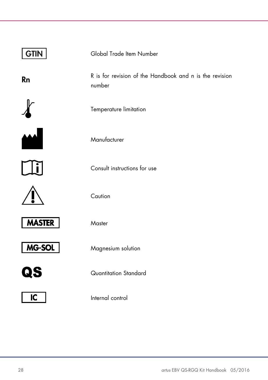| I<br><b>GTIN</b> |  |
|------------------|--|
|                  |  |
| Rn               |  |
|                  |  |

Global Trade Item Number

R is for revision of the Handbook and n is the revision number



Temperature limitation



Manufacturer



Consult instructions for use

![](_page_27_Picture_9.jpeg)

**Caution** 

![](_page_27_Picture_11.jpeg)

Master

![](_page_27_Picture_13.jpeg)

Magnesium solution

QS

 $IC$ 

Quantitation Standard

Internal control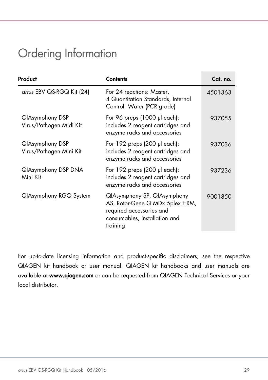# <span id="page-28-0"></span>Ordering Information

| Product                                    | Contents                                                                                                                                | Cat. no. |
|--------------------------------------------|-----------------------------------------------------------------------------------------------------------------------------------------|----------|
| artus EBV QS-RGQ Kit (24)                  | For 24 reactions: Master,<br>4 Quantitation Standards, Internal<br>Control, Water (PCR grade)                                           | 4501363  |
| QIAsymphony DSP<br>Virus/Pathogen Midi Kit | For 96 preps (1000 µl each):<br>includes 2 reagent cartridges and<br>enzyme racks and accessories                                       | 937055   |
| QIAsymphony DSP<br>Virus/Pathogen Mini Kit | For 192 preps (200 µl each):<br>includes 2 reagent cartridges and<br>enzyme racks and accessories                                       | 937036   |
| QIAsymphony DSP DNA<br>Mini Kit            | For $192$ preps (200 $\mu$ each):<br>includes 2 reagent cartridges and<br>enzyme racks and accessories                                  | 937236   |
| QIAsymphony RGQ System                     | QIAsymphony SP, QIAsymphony<br>AS, Rotor-Gene Q MDx 5plex HRM,<br>required accessories and<br>consumables, installation and<br>training | 9001850  |

For up-to-date licensing information and product-specific disclaimers, see the respective QIAGEN kit handbook or user manual. QIAGEN kit handbooks and user manuals are available at www.qiagen.com or can be requested from QIAGEN Technical Services or your local distributor.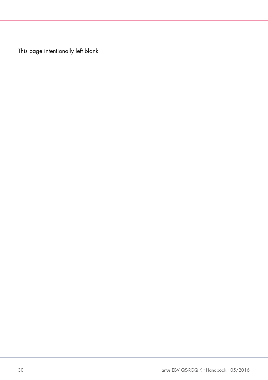This page intentionally left blank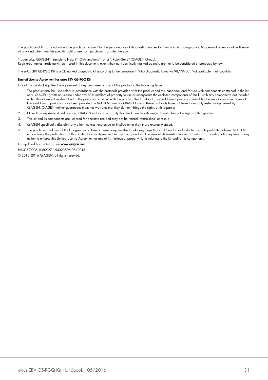The purchase of this product allows the purchaser to use it for the performance of diagnostic services for human in vitro diagnostics. No general patent or other license of any kind other than this specific right of use from purchase is granted hereby.

Trademarks: QIAGEN®, Sample to Insight®, QIAsymphony®, *artus*®, Rotor-Gene® (QIAGEN Group). Registered names, trademarks, etc., used in this document, even when not specifically marked as such, are not to be considered unprotected by law.

The artus EBV QS-RGQ Kit is a CE-marked diagnostic kit according to the European In Vitro Diagnostic Directive 98/79/EC. Not available in all countries.

#### Limited License Agreement for *artus* EBV QS-RGQ Kit

Use of this product signifies the agreement of any purchaser or user of the product to the following terms:

- 1. The product may be used solely in accordance with the protocols provided with the product and this handbook and for use with components contained in the kit only. QIAGEN grants no license under any of its intellectual property to use or incorporate the enclosed components of this kit with any components not included within this kit except as described in the protocols provided with the product, this handbook, and additional protocols available at www.qiagen.com. Some ot<br>these additional protocols have been provided by QIAGEN users for QIAGEN. QIAGEN neither guarantees them nor warrants that they do not infringe the rights of third-parties.
- 2. Other than expressly stated licenses, QIAGEN makes no warranty that this kit and/or its use(s) do not infringe the rights of third-parties.
- 3. This kit and its components are licensed for one-time use and may not be reused, refurbished, or resold.
- 4. QIAGEN specifically disclaims any other licenses, expressed or implied other than those expressly stated.
- 5. The purchaser and user of the kit agree not to take or permit anyone else to take any steps that could lead to or facilitate any acts prohibited above. QIAGEN may enforce the prohibitions of this Limited License Agreement in any Court, and shall recover all its investigative and Court costs, including attorney fees, in any action to enforce this Limited License Agreement or any of its intellectual property rights relating to the kit and/or its components.

For updated license terms, see [www.qiagen.com](http://www.qiagen.com/)

HB-0357-006 1060927 154023596 05/2016

© 2010–2016 QIAGEN, all rights reserved.